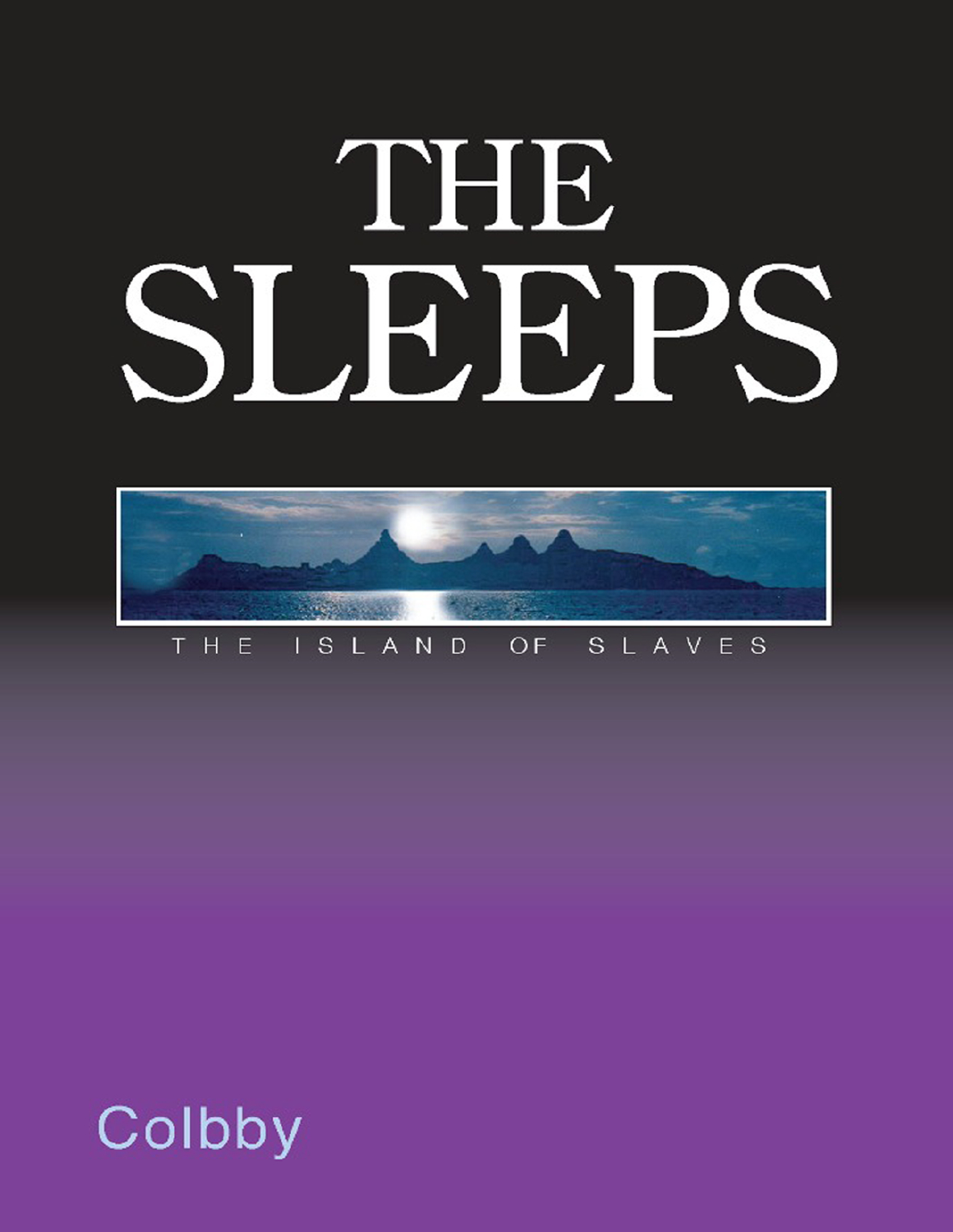# THE SLEEPS



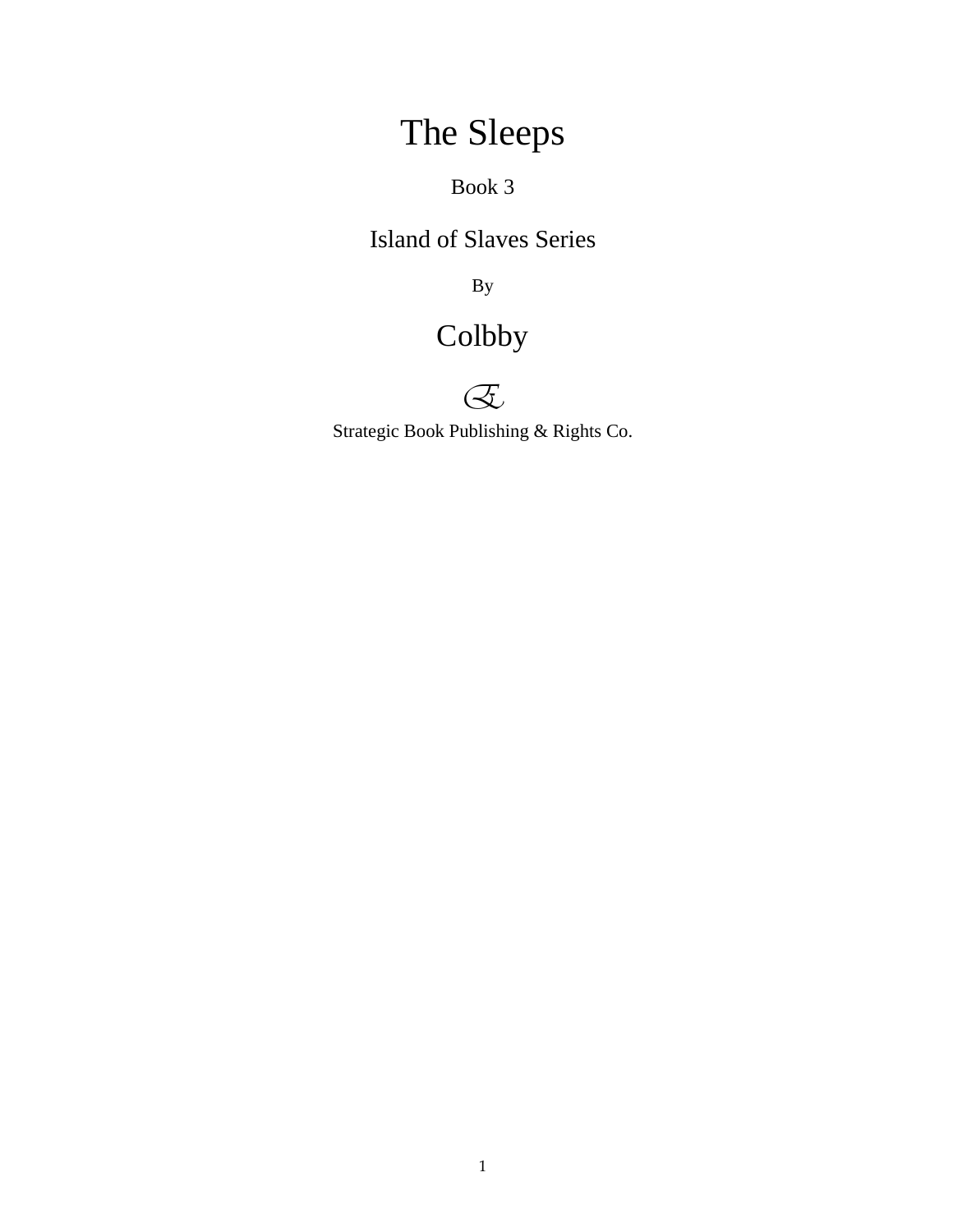# The Sleeps

Book 3

Island of Slaves Series

By

## Colbby



Strategic Book Publishing & Rights Co.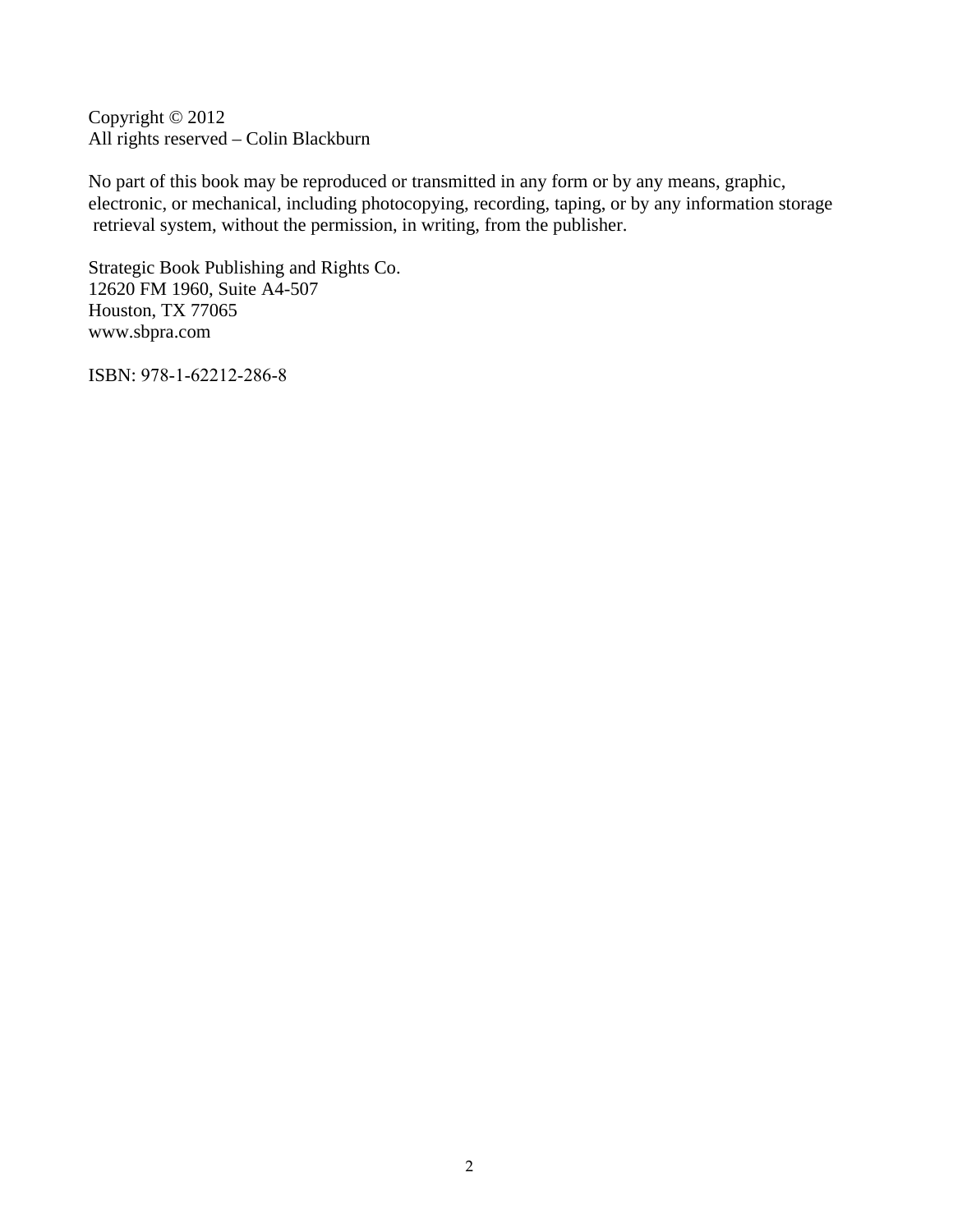Copyright © 2012 All rights reserved – Colin Blackburn

No part of this book may be reproduced or transmitted in any form or by any means, graphic, electronic, or mechanical, including photocopying, recording, taping, or by any information storage retrieval system, without the permission, in writing, from the publisher.

Strategic Book Publishing and Rights Co. 12620 FM 1960, Suite A4-507 Houston, TX 77065 www.sbpra.com

ISBN: 978-1-62212-286-8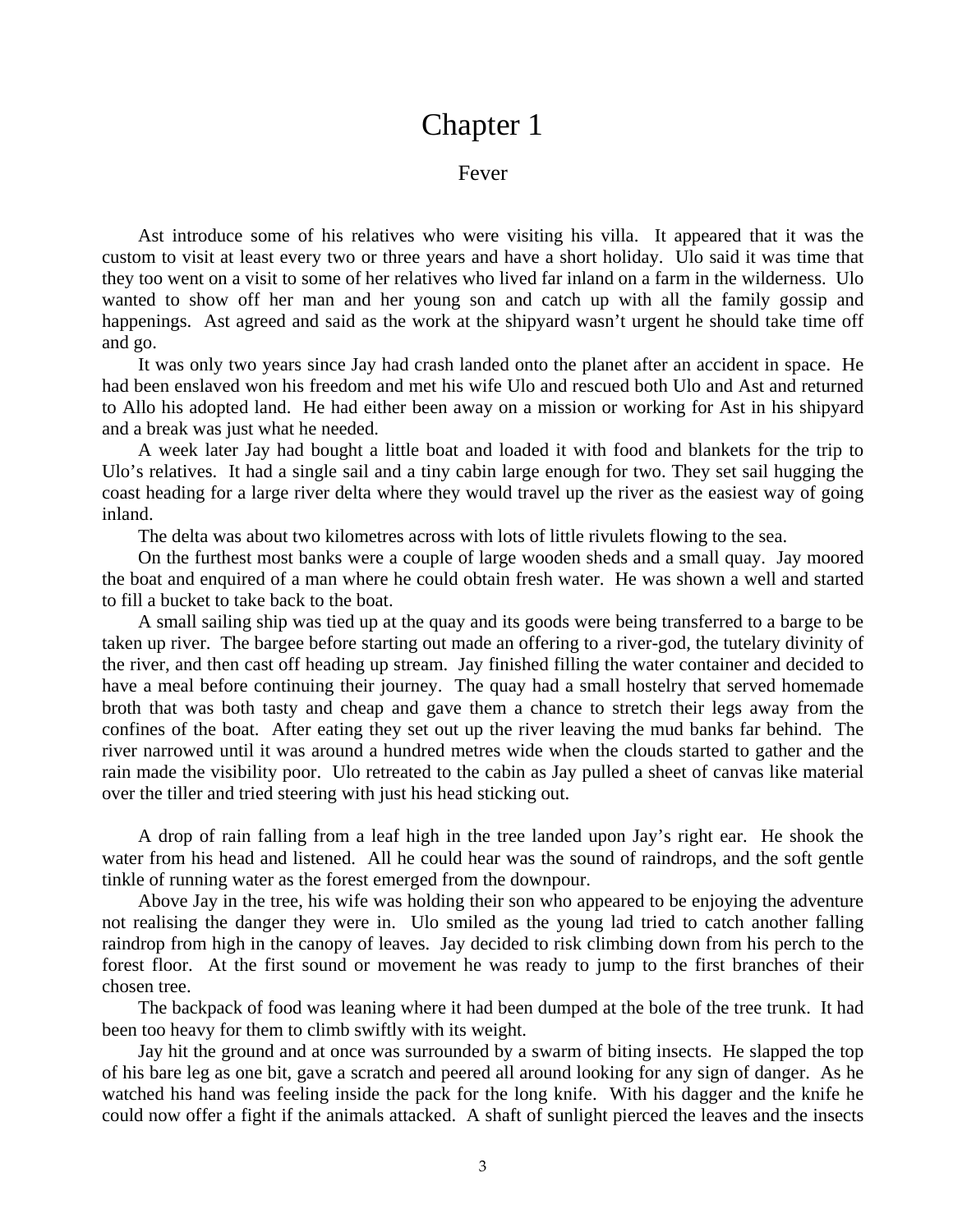## Chapter 1

#### Fever

Ast introduce some of his relatives who were visiting his villa. It appeared that it was the custom to visit at least every two or three years and have a short holiday. Ulo said it was time that they too went on a visit to some of her relatives who lived far inland on a farm in the wilderness. Ulo wanted to show off her man and her young son and catch up with all the family gossip and happenings. Ast agreed and said as the work at the shipyard wasn't urgent he should take time off and go.

It was only two years since Jay had crash landed onto the planet after an accident in space. He had been enslaved won his freedom and met his wife Ulo and rescued both Ulo and Ast and returned to Allo his adopted land. He had either been away on a mission or working for Ast in his shipyard and a break was just what he needed.

A week later Jay had bought a little boat and loaded it with food and blankets for the trip to Ulo's relatives. It had a single sail and a tiny cabin large enough for two. They set sail hugging the coast heading for a large river delta where they would travel up the river as the easiest way of going inland.

The delta was about two kilometres across with lots of little rivulets flowing to the sea.

On the furthest most banks were a couple of large wooden sheds and a small quay. Jay moored the boat and enquired of a man where he could obtain fresh water. He was shown a well and started to fill a bucket to take back to the boat.

A small sailing ship was tied up at the quay and its goods were being transferred to a barge to be taken up river. The bargee before starting out made an offering to a river-god, the tutelary divinity of the river, and then cast off heading up stream. Jay finished filling the water container and decided to have a meal before continuing their journey. The quay had a small hostelry that served homemade broth that was both tasty and cheap and gave them a chance to stretch their legs away from the confines of the boat. After eating they set out up the river leaving the mud banks far behind. The river narrowed until it was around a hundred metres wide when the clouds started to gather and the rain made the visibility poor. Ulo retreated to the cabin as Jay pulled a sheet of canvas like material over the tiller and tried steering with just his head sticking out.

A drop of rain falling from a leaf high in the tree landed upon Jay's right ear. He shook the water from his head and listened. All he could hear was the sound of raindrops, and the soft gentle tinkle of running water as the forest emerged from the downpour.

Above Jay in the tree, his wife was holding their son who appeared to be enjoying the adventure not realising the danger they were in. Ulo smiled as the young lad tried to catch another falling raindrop from high in the canopy of leaves. Jay decided to risk climbing down from his perch to the forest floor. At the first sound or movement he was ready to jump to the first branches of their chosen tree.

The backpack of food was leaning where it had been dumped at the bole of the tree trunk. It had been too heavy for them to climb swiftly with its weight.

Jay hit the ground and at once was surrounded by a swarm of biting insects. He slapped the top of his bare leg as one bit, gave a scratch and peered all around looking for any sign of danger. As he watched his hand was feeling inside the pack for the long knife. With his dagger and the knife he could now offer a fight if the animals attacked. A shaft of sunlight pierced the leaves and the insects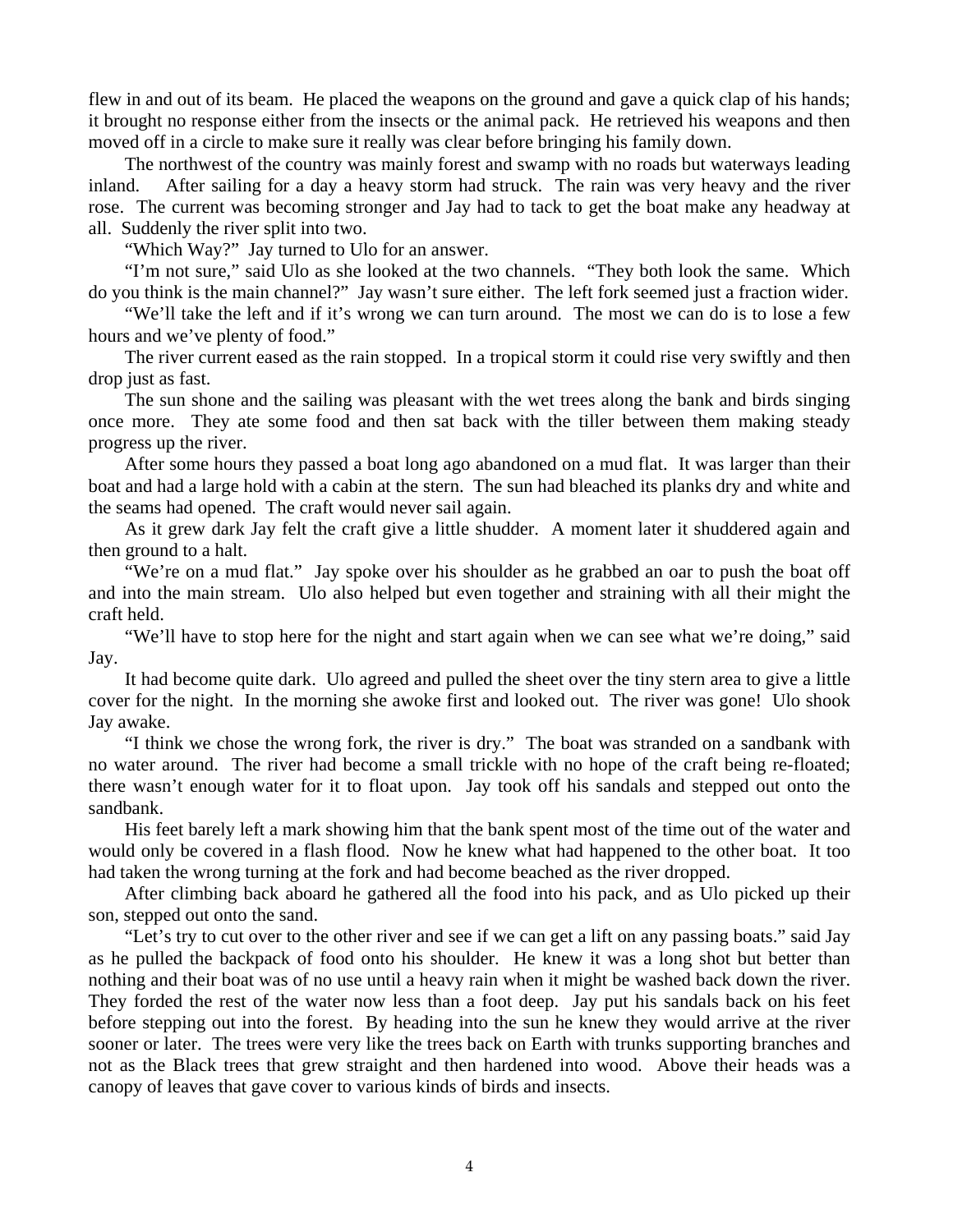flew in and out of its beam. He placed the weapons on the ground and gave a quick clap of his hands; it brought no response either from the insects or the animal pack. He retrieved his weapons and then moved off in a circle to make sure it really was clear before bringing his family down.

The northwest of the country was mainly forest and swamp with no roads but waterways leading inland. After sailing for a day a heavy storm had struck. The rain was very heavy and the river rose. The current was becoming stronger and Jay had to tack to get the boat make any headway at all. Suddenly the river split into two.

"Which Way?" Jay turned to Ulo for an answer.

"I'm not sure," said Ulo as she looked at the two channels. "They both look the same. Which do you think is the main channel?" Jay wasn't sure either. The left fork seemed just a fraction wider.

"We'll take the left and if it's wrong we can turn around. The most we can do is to lose a few hours and we've plenty of food."

The river current eased as the rain stopped. In a tropical storm it could rise very swiftly and then drop just as fast.

The sun shone and the sailing was pleasant with the wet trees along the bank and birds singing once more. They ate some food and then sat back with the tiller between them making steady progress up the river.

After some hours they passed a boat long ago abandoned on a mud flat. It was larger than their boat and had a large hold with a cabin at the stern. The sun had bleached its planks dry and white and the seams had opened. The craft would never sail again.

As it grew dark Jay felt the craft give a little shudder. A moment later it shuddered again and then ground to a halt.

"We're on a mud flat." Jay spoke over his shoulder as he grabbed an oar to push the boat off and into the main stream. Ulo also helped but even together and straining with all their might the craft held.

"We'll have to stop here for the night and start again when we can see what we're doing," said Jay.

It had become quite dark. Ulo agreed and pulled the sheet over the tiny stern area to give a little cover for the night. In the morning she awoke first and looked out. The river was gone! Ulo shook Jay awake.

"I think we chose the wrong fork, the river is dry." The boat was stranded on a sandbank with no water around. The river had become a small trickle with no hope of the craft being re-floated; there wasn't enough water for it to float upon. Jay took off his sandals and stepped out onto the sandbank.

His feet barely left a mark showing him that the bank spent most of the time out of the water and would only be covered in a flash flood. Now he knew what had happened to the other boat. It too had taken the wrong turning at the fork and had become beached as the river dropped.

After climbing back aboard he gathered all the food into his pack, and as Ulo picked up their son, stepped out onto the sand.

"Let's try to cut over to the other river and see if we can get a lift on any passing boats." said Jay as he pulled the backpack of food onto his shoulder. He knew it was a long shot but better than nothing and their boat was of no use until a heavy rain when it might be washed back down the river. They forded the rest of the water now less than a foot deep. Jay put his sandals back on his feet before stepping out into the forest. By heading into the sun he knew they would arrive at the river sooner or later. The trees were very like the trees back on Earth with trunks supporting branches and not as the Black trees that grew straight and then hardened into wood. Above their heads was a canopy of leaves that gave cover to various kinds of birds and insects.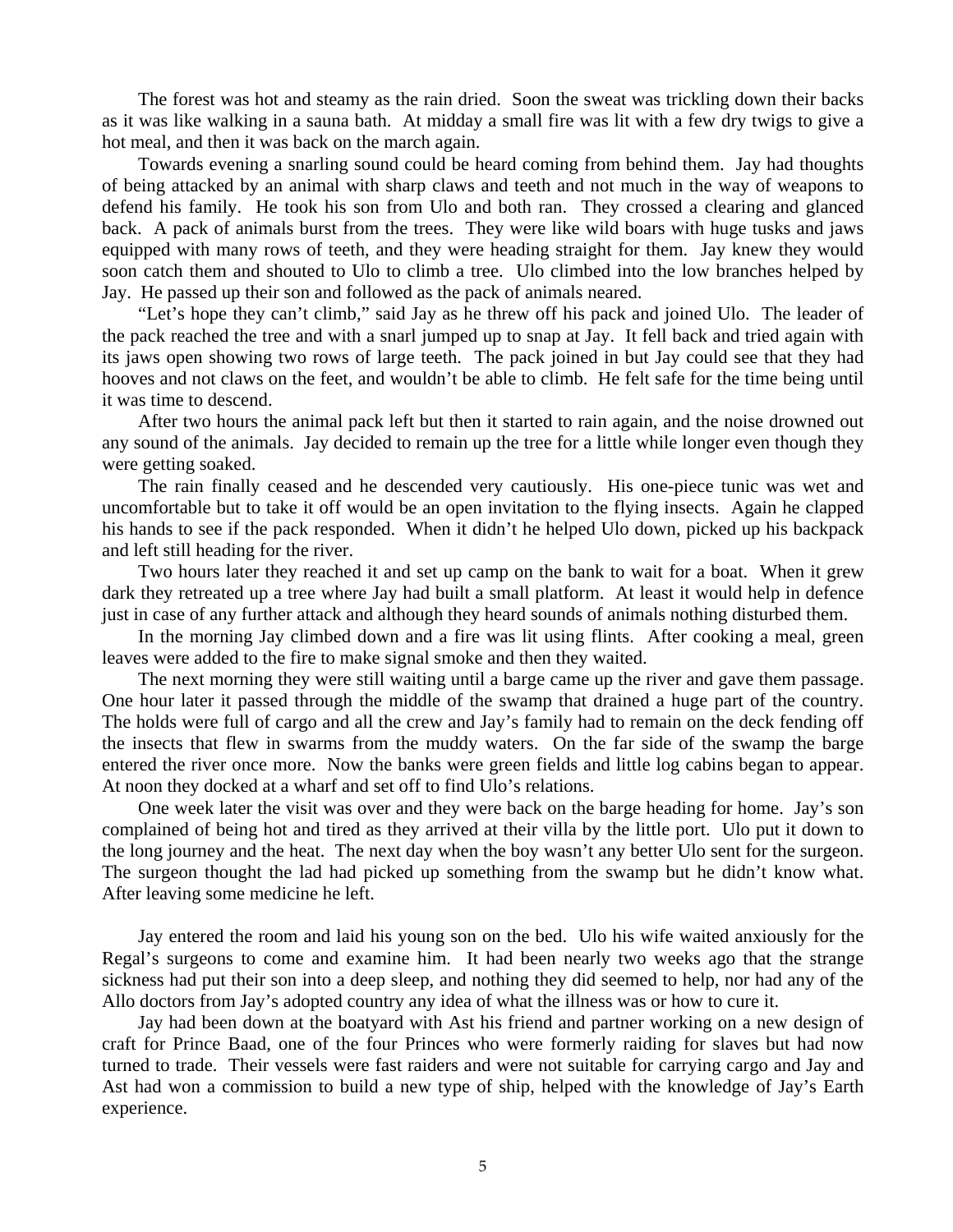The forest was hot and steamy as the rain dried. Soon the sweat was trickling down their backs as it was like walking in a sauna bath. At midday a small fire was lit with a few dry twigs to give a hot meal, and then it was back on the march again.

Towards evening a snarling sound could be heard coming from behind them. Jay had thoughts of being attacked by an animal with sharp claws and teeth and not much in the way of weapons to defend his family. He took his son from Ulo and both ran. They crossed a clearing and glanced back. A pack of animals burst from the trees. They were like wild boars with huge tusks and jaws equipped with many rows of teeth, and they were heading straight for them. Jay knew they would soon catch them and shouted to Ulo to climb a tree. Ulo climbed into the low branches helped by Jay. He passed up their son and followed as the pack of animals neared.

"Let's hope they can't climb," said Jay as he threw off his pack and joined Ulo. The leader of the pack reached the tree and with a snarl jumped up to snap at Jay. It fell back and tried again with its jaws open showing two rows of large teeth. The pack joined in but Jay could see that they had hooves and not claws on the feet, and wouldn't be able to climb. He felt safe for the time being until it was time to descend.

After two hours the animal pack left but then it started to rain again, and the noise drowned out any sound of the animals. Jay decided to remain up the tree for a little while longer even though they were getting soaked.

The rain finally ceased and he descended very cautiously. His one-piece tunic was wet and uncomfortable but to take it off would be an open invitation to the flying insects. Again he clapped his hands to see if the pack responded. When it didn't he helped Ulo down, picked up his backpack and left still heading for the river.

Two hours later they reached it and set up camp on the bank to wait for a boat. When it grew dark they retreated up a tree where Jay had built a small platform. At least it would help in defence just in case of any further attack and although they heard sounds of animals nothing disturbed them.

In the morning Jay climbed down and a fire was lit using flints. After cooking a meal, green leaves were added to the fire to make signal smoke and then they waited.

The next morning they were still waiting until a barge came up the river and gave them passage. One hour later it passed through the middle of the swamp that drained a huge part of the country. The holds were full of cargo and all the crew and Jay's family had to remain on the deck fending off the insects that flew in swarms from the muddy waters. On the far side of the swamp the barge entered the river once more. Now the banks were green fields and little log cabins began to appear. At noon they docked at a wharf and set off to find Ulo's relations.

One week later the visit was over and they were back on the barge heading for home. Jay's son complained of being hot and tired as they arrived at their villa by the little port. Ulo put it down to the long journey and the heat. The next day when the boy wasn't any better Ulo sent for the surgeon. The surgeon thought the lad had picked up something from the swamp but he didn't know what. After leaving some medicine he left.

Jay entered the room and laid his young son on the bed. Ulo his wife waited anxiously for the Regal's surgeons to come and examine him. It had been nearly two weeks ago that the strange sickness had put their son into a deep sleep, and nothing they did seemed to help, nor had any of the Allo doctors from Jay's adopted country any idea of what the illness was or how to cure it.

Jay had been down at the boatyard with Ast his friend and partner working on a new design of craft for Prince Baad, one of the four Princes who were formerly raiding for slaves but had now turned to trade. Their vessels were fast raiders and were not suitable for carrying cargo and Jay and Ast had won a commission to build a new type of ship, helped with the knowledge of Jay's Earth experience.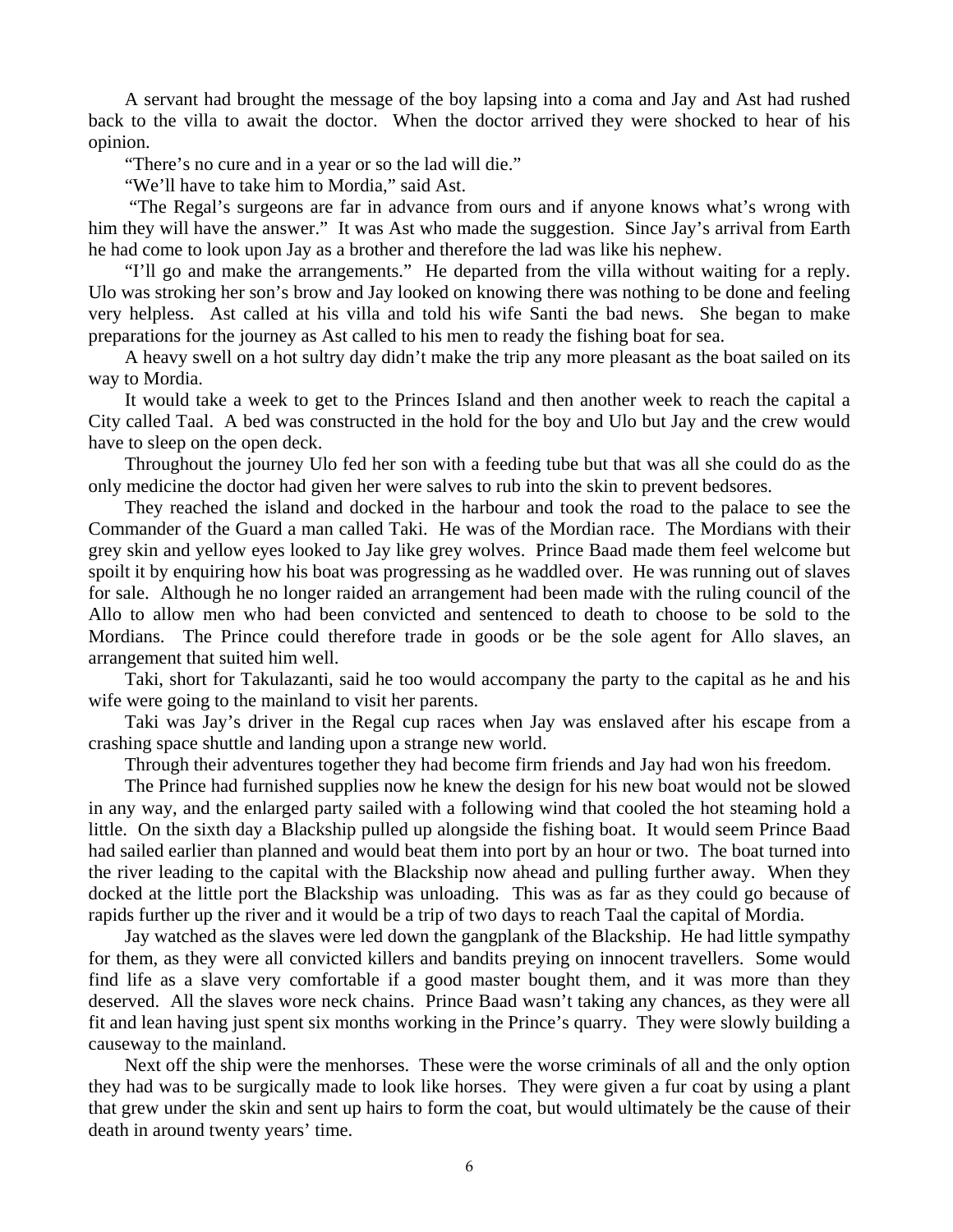A servant had brought the message of the boy lapsing into a coma and Jay and Ast had rushed back to the villa to await the doctor. When the doctor arrived they were shocked to hear of his opinion.

"There's no cure and in a year or so the lad will die."

"We'll have to take him to Mordia," said Ast.

 "The Regal's surgeons are far in advance from ours and if anyone knows what's wrong with him they will have the answer." It was Ast who made the suggestion. Since Jay's arrival from Earth he had come to look upon Jay as a brother and therefore the lad was like his nephew.

"I'll go and make the arrangements." He departed from the villa without waiting for a reply. Ulo was stroking her son's brow and Jay looked on knowing there was nothing to be done and feeling very helpless. Ast called at his villa and told his wife Santi the bad news. She began to make preparations for the journey as Ast called to his men to ready the fishing boat for sea.

A heavy swell on a hot sultry day didn't make the trip any more pleasant as the boat sailed on its way to Mordia.

It would take a week to get to the Princes Island and then another week to reach the capital a City called Taal. A bed was constructed in the hold for the boy and Ulo but Jay and the crew would have to sleep on the open deck.

Throughout the journey Ulo fed her son with a feeding tube but that was all she could do as the only medicine the doctor had given her were salves to rub into the skin to prevent bedsores.

They reached the island and docked in the harbour and took the road to the palace to see the Commander of the Guard a man called Taki. He was of the Mordian race. The Mordians with their grey skin and yellow eyes looked to Jay like grey wolves. Prince Baad made them feel welcome but spoilt it by enquiring how his boat was progressing as he waddled over. He was running out of slaves for sale. Although he no longer raided an arrangement had been made with the ruling council of the Allo to allow men who had been convicted and sentenced to death to choose to be sold to the Mordians. The Prince could therefore trade in goods or be the sole agent for Allo slaves, an arrangement that suited him well.

Taki, short for Takulazanti, said he too would accompany the party to the capital as he and his wife were going to the mainland to visit her parents.

Taki was Jay's driver in the Regal cup races when Jay was enslaved after his escape from a crashing space shuttle and landing upon a strange new world.

Through their adventures together they had become firm friends and Jay had won his freedom.

The Prince had furnished supplies now he knew the design for his new boat would not be slowed in any way, and the enlarged party sailed with a following wind that cooled the hot steaming hold a little. On the sixth day a Blackship pulled up alongside the fishing boat. It would seem Prince Baad had sailed earlier than planned and would beat them into port by an hour or two. The boat turned into the river leading to the capital with the Blackship now ahead and pulling further away. When they docked at the little port the Blackship was unloading. This was as far as they could go because of rapids further up the river and it would be a trip of two days to reach Taal the capital of Mordia.

Jay watched as the slaves were led down the gangplank of the Blackship. He had little sympathy for them, as they were all convicted killers and bandits preying on innocent travellers. Some would find life as a slave very comfortable if a good master bought them, and it was more than they deserved. All the slaves wore neck chains. Prince Baad wasn't taking any chances, as they were all fit and lean having just spent six months working in the Prince's quarry. They were slowly building a causeway to the mainland.

Next off the ship were the menhorses. These were the worse criminals of all and the only option they had was to be surgically made to look like horses. They were given a fur coat by using a plant that grew under the skin and sent up hairs to form the coat, but would ultimately be the cause of their death in around twenty years' time.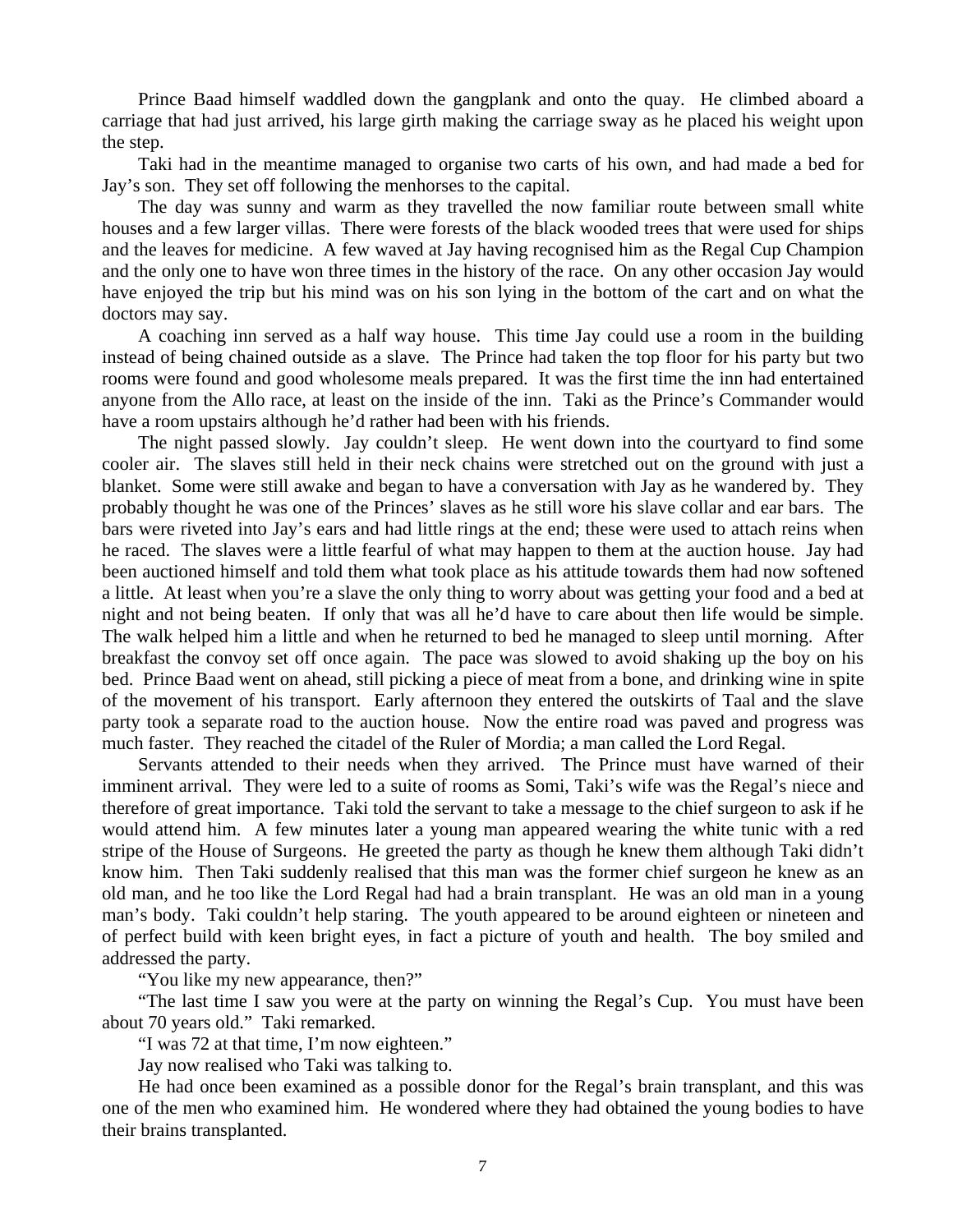Prince Baad himself waddled down the gangplank and onto the quay. He climbed aboard a carriage that had just arrived, his large girth making the carriage sway as he placed his weight upon the step.

Taki had in the meantime managed to organise two carts of his own, and had made a bed for Jay's son. They set off following the menhorses to the capital.

The day was sunny and warm as they travelled the now familiar route between small white houses and a few larger villas. There were forests of the black wooded trees that were used for ships and the leaves for medicine. A few waved at Jay having recognised him as the Regal Cup Champion and the only one to have won three times in the history of the race. On any other occasion Jay would have enjoyed the trip but his mind was on his son lying in the bottom of the cart and on what the doctors may say.

A coaching inn served as a half way house. This time Jay could use a room in the building instead of being chained outside as a slave. The Prince had taken the top floor for his party but two rooms were found and good wholesome meals prepared. It was the first time the inn had entertained anyone from the Allo race, at least on the inside of the inn. Taki as the Prince's Commander would have a room upstairs although he'd rather had been with his friends.

The night passed slowly. Jay couldn't sleep. He went down into the courtyard to find some cooler air. The slaves still held in their neck chains were stretched out on the ground with just a blanket. Some were still awake and began to have a conversation with Jay as he wandered by. They probably thought he was one of the Princes' slaves as he still wore his slave collar and ear bars. The bars were riveted into Jay's ears and had little rings at the end; these were used to attach reins when he raced. The slaves were a little fearful of what may happen to them at the auction house. Jay had been auctioned himself and told them what took place as his attitude towards them had now softened a little. At least when you're a slave the only thing to worry about was getting your food and a bed at night and not being beaten. If only that was all he'd have to care about then life would be simple. The walk helped him a little and when he returned to bed he managed to sleep until morning. After breakfast the convoy set off once again. The pace was slowed to avoid shaking up the boy on his bed. Prince Baad went on ahead, still picking a piece of meat from a bone, and drinking wine in spite of the movement of his transport. Early afternoon they entered the outskirts of Taal and the slave party took a separate road to the auction house. Now the entire road was paved and progress was much faster. They reached the citadel of the Ruler of Mordia; a man called the Lord Regal.

Servants attended to their needs when they arrived. The Prince must have warned of their imminent arrival. They were led to a suite of rooms as Somi, Taki's wife was the Regal's niece and therefore of great importance. Taki told the servant to take a message to the chief surgeon to ask if he would attend him. A few minutes later a young man appeared wearing the white tunic with a red stripe of the House of Surgeons. He greeted the party as though he knew them although Taki didn't know him. Then Taki suddenly realised that this man was the former chief surgeon he knew as an old man, and he too like the Lord Regal had had a brain transplant. He was an old man in a young man's body. Taki couldn't help staring. The youth appeared to be around eighteen or nineteen and of perfect build with keen bright eyes, in fact a picture of youth and health. The boy smiled and addressed the party.

"You like my new appearance, then?"

"The last time I saw you were at the party on winning the Regal's Cup. You must have been about 70 years old." Taki remarked.

"I was 72 at that time, I'm now eighteen."

Jay now realised who Taki was talking to.

He had once been examined as a possible donor for the Regal's brain transplant, and this was one of the men who examined him. He wondered where they had obtained the young bodies to have their brains transplanted.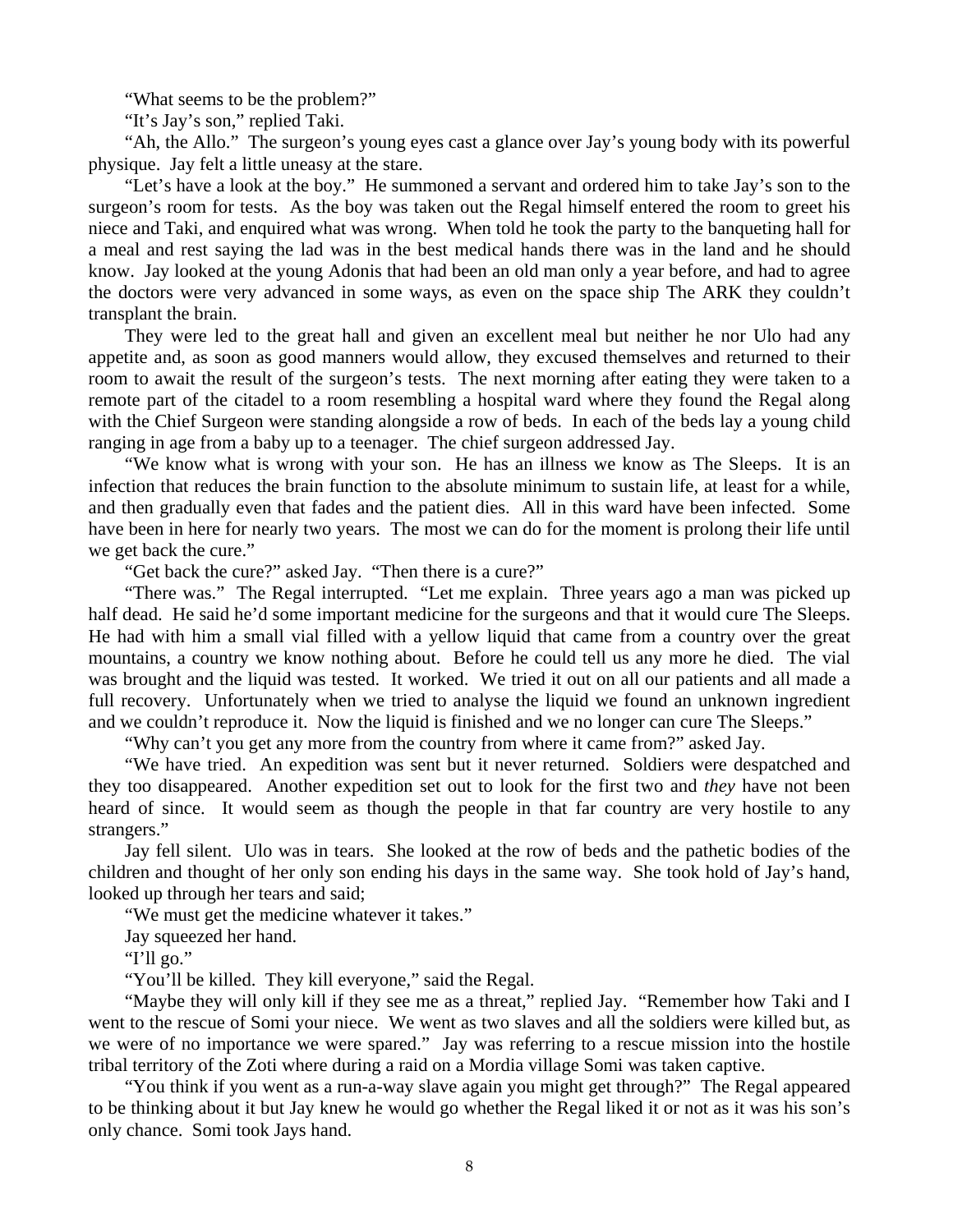"What seems to be the problem?"

"It's Jay's son," replied Taki.

"Ah, the Allo." The surgeon's young eyes cast a glance over Jay's young body with its powerful physique. Jay felt a little uneasy at the stare.

"Let's have a look at the boy." He summoned a servant and ordered him to take Jay's son to the surgeon's room for tests. As the boy was taken out the Regal himself entered the room to greet his niece and Taki, and enquired what was wrong. When told he took the party to the banqueting hall for a meal and rest saying the lad was in the best medical hands there was in the land and he should know. Jay looked at the young Adonis that had been an old man only a year before, and had to agree the doctors were very advanced in some ways, as even on the space ship The ARK they couldn't transplant the brain.

They were led to the great hall and given an excellent meal but neither he nor Ulo had any appetite and, as soon as good manners would allow, they excused themselves and returned to their room to await the result of the surgeon's tests. The next morning after eating they were taken to a remote part of the citadel to a room resembling a hospital ward where they found the Regal along with the Chief Surgeon were standing alongside a row of beds. In each of the beds lay a young child ranging in age from a baby up to a teenager. The chief surgeon addressed Jay.

"We know what is wrong with your son. He has an illness we know as The Sleeps. It is an infection that reduces the brain function to the absolute minimum to sustain life, at least for a while, and then gradually even that fades and the patient dies. All in this ward have been infected. Some have been in here for nearly two years. The most we can do for the moment is prolong their life until we get back the cure."

"Get back the cure?" asked Jay. "Then there is a cure?"

"There was." The Regal interrupted. "Let me explain. Three years ago a man was picked up half dead. He said he'd some important medicine for the surgeons and that it would cure The Sleeps. He had with him a small vial filled with a yellow liquid that came from a country over the great mountains, a country we know nothing about. Before he could tell us any more he died. The vial was brought and the liquid was tested. It worked. We tried it out on all our patients and all made a full recovery. Unfortunately when we tried to analyse the liquid we found an unknown ingredient and we couldn't reproduce it. Now the liquid is finished and we no longer can cure The Sleeps."

"Why can't you get any more from the country from where it came from?" asked Jay.

"We have tried. An expedition was sent but it never returned. Soldiers were despatched and they too disappeared. Another expedition set out to look for the first two and *they* have not been heard of since. It would seem as though the people in that far country are very hostile to any strangers."

Jay fell silent. Ulo was in tears. She looked at the row of beds and the pathetic bodies of the children and thought of her only son ending his days in the same way. She took hold of Jay's hand, looked up through her tears and said;

"We must get the medicine whatever it takes."

Jay squeezed her hand.

"I'll go."

"You'll be killed. They kill everyone," said the Regal.

"Maybe they will only kill if they see me as a threat," replied Jay. "Remember how Taki and I went to the rescue of Somi your niece. We went as two slaves and all the soldiers were killed but, as we were of no importance we were spared." Jay was referring to a rescue mission into the hostile tribal territory of the Zoti where during a raid on a Mordia village Somi was taken captive.

"You think if you went as a run-a-way slave again you might get through?" The Regal appeared to be thinking about it but Jay knew he would go whether the Regal liked it or not as it was his son's only chance. Somi took Jays hand.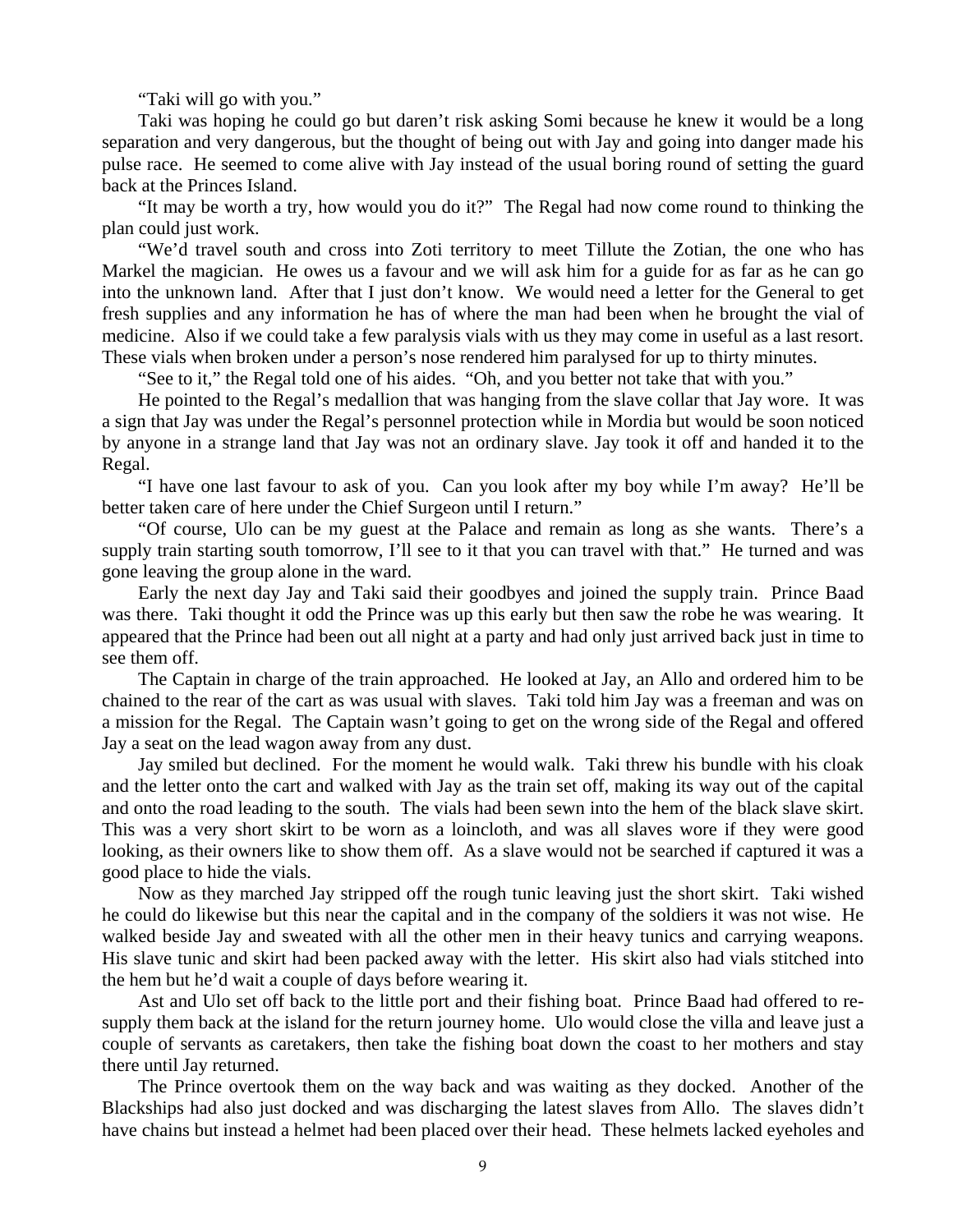"Taki will go with you."

Taki was hoping he could go but daren't risk asking Somi because he knew it would be a long separation and very dangerous, but the thought of being out with Jay and going into danger made his pulse race. He seemed to come alive with Jay instead of the usual boring round of setting the guard back at the Princes Island.

"It may be worth a try, how would you do it?" The Regal had now come round to thinking the plan could just work.

"We'd travel south and cross into Zoti territory to meet Tillute the Zotian, the one who has Markel the magician. He owes us a favour and we will ask him for a guide for as far as he can go into the unknown land. After that I just don't know. We would need a letter for the General to get fresh supplies and any information he has of where the man had been when he brought the vial of medicine. Also if we could take a few paralysis vials with us they may come in useful as a last resort. These vials when broken under a person's nose rendered him paralysed for up to thirty minutes.

"See to it," the Regal told one of his aides. "Oh, and you better not take that with you."

He pointed to the Regal's medallion that was hanging from the slave collar that Jay wore. It was a sign that Jay was under the Regal's personnel protection while in Mordia but would be soon noticed by anyone in a strange land that Jay was not an ordinary slave. Jay took it off and handed it to the Regal.

"I have one last favour to ask of you. Can you look after my boy while I'm away? He'll be better taken care of here under the Chief Surgeon until I return."

"Of course, Ulo can be my guest at the Palace and remain as long as she wants. There's a supply train starting south tomorrow, I'll see to it that you can travel with that." He turned and was gone leaving the group alone in the ward.

Early the next day Jay and Taki said their goodbyes and joined the supply train. Prince Baad was there. Taki thought it odd the Prince was up this early but then saw the robe he was wearing. It appeared that the Prince had been out all night at a party and had only just arrived back just in time to see them off.

The Captain in charge of the train approached. He looked at Jay, an Allo and ordered him to be chained to the rear of the cart as was usual with slaves. Taki told him Jay was a freeman and was on a mission for the Regal. The Captain wasn't going to get on the wrong side of the Regal and offered Jay a seat on the lead wagon away from any dust.

Jay smiled but declined. For the moment he would walk. Taki threw his bundle with his cloak and the letter onto the cart and walked with Jay as the train set off, making its way out of the capital and onto the road leading to the south. The vials had been sewn into the hem of the black slave skirt. This was a very short skirt to be worn as a loincloth, and was all slaves wore if they were good looking, as their owners like to show them off. As a slave would not be searched if captured it was a good place to hide the vials.

Now as they marched Jay stripped off the rough tunic leaving just the short skirt. Taki wished he could do likewise but this near the capital and in the company of the soldiers it was not wise. He walked beside Jay and sweated with all the other men in their heavy tunics and carrying weapons. His slave tunic and skirt had been packed away with the letter. His skirt also had vials stitched into the hem but he'd wait a couple of days before wearing it.

Ast and Ulo set off back to the little port and their fishing boat. Prince Baad had offered to resupply them back at the island for the return journey home. Ulo would close the villa and leave just a couple of servants as caretakers, then take the fishing boat down the coast to her mothers and stay there until Jay returned.

The Prince overtook them on the way back and was waiting as they docked. Another of the Blackships had also just docked and was discharging the latest slaves from Allo. The slaves didn't have chains but instead a helmet had been placed over their head. These helmets lacked eyeholes and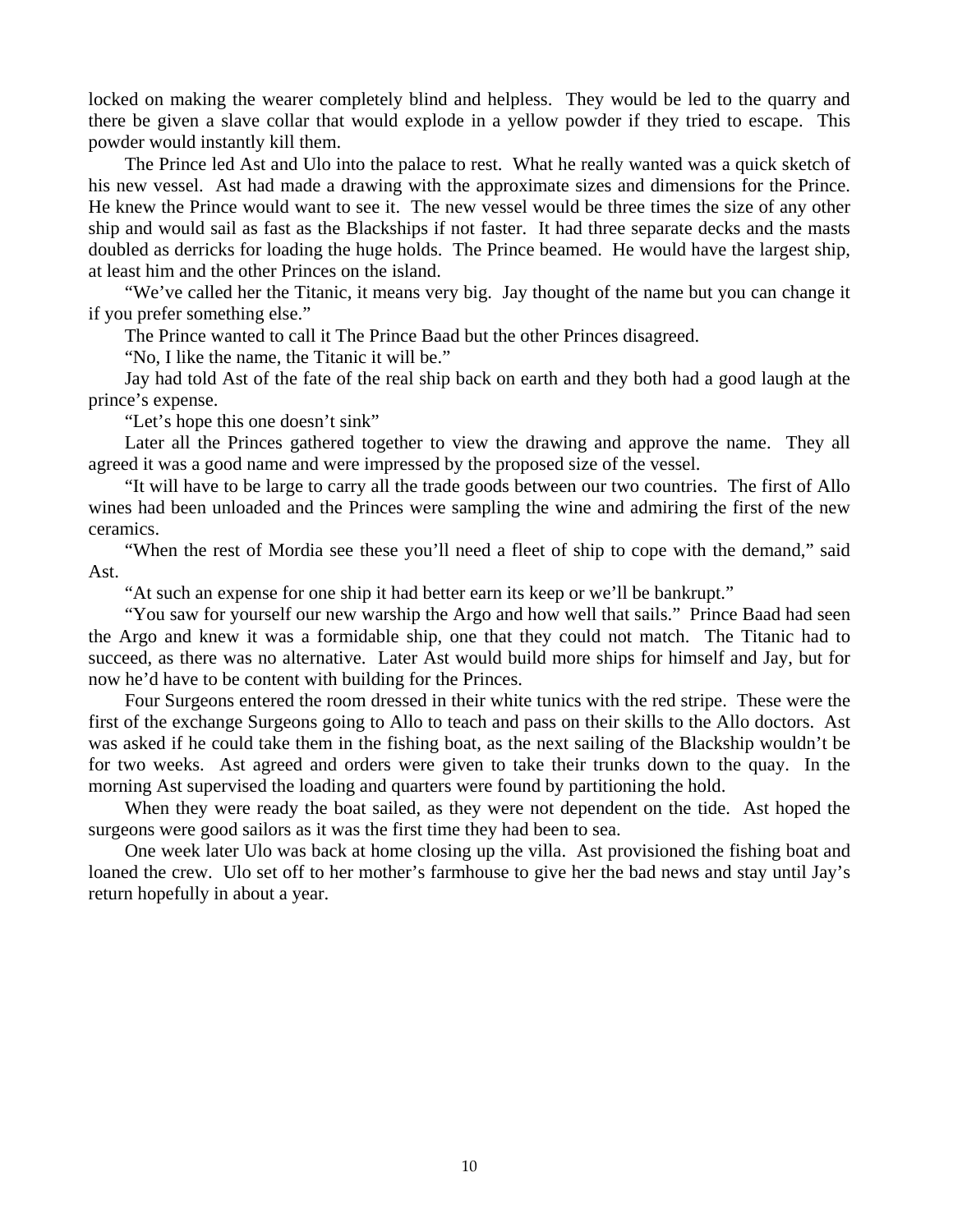locked on making the wearer completely blind and helpless. They would be led to the quarry and there be given a slave collar that would explode in a yellow powder if they tried to escape. This powder would instantly kill them.

The Prince led Ast and Ulo into the palace to rest. What he really wanted was a quick sketch of his new vessel. Ast had made a drawing with the approximate sizes and dimensions for the Prince. He knew the Prince would want to see it. The new vessel would be three times the size of any other ship and would sail as fast as the Blackships if not faster. It had three separate decks and the masts doubled as derricks for loading the huge holds. The Prince beamed. He would have the largest ship, at least him and the other Princes on the island.

"We've called her the Titanic, it means very big. Jay thought of the name but you can change it if you prefer something else."

The Prince wanted to call it The Prince Baad but the other Princes disagreed.

"No, I like the name, the Titanic it will be."

Jay had told Ast of the fate of the real ship back on earth and they both had a good laugh at the prince's expense.

"Let's hope this one doesn't sink"

Later all the Princes gathered together to view the drawing and approve the name. They all agreed it was a good name and were impressed by the proposed size of the vessel.

"It will have to be large to carry all the trade goods between our two countries. The first of Allo wines had been unloaded and the Princes were sampling the wine and admiring the first of the new ceramics.

"When the rest of Mordia see these you'll need a fleet of ship to cope with the demand," said Ast.

"At such an expense for one ship it had better earn its keep or we'll be bankrupt."

"You saw for yourself our new warship the Argo and how well that sails." Prince Baad had seen the Argo and knew it was a formidable ship, one that they could not match. The Titanic had to succeed, as there was no alternative. Later Ast would build more ships for himself and Jay, but for now he'd have to be content with building for the Princes.

Four Surgeons entered the room dressed in their white tunics with the red stripe. These were the first of the exchange Surgeons going to Allo to teach and pass on their skills to the Allo doctors. Ast was asked if he could take them in the fishing boat, as the next sailing of the Blackship wouldn't be for two weeks. Ast agreed and orders were given to take their trunks down to the quay. In the morning Ast supervised the loading and quarters were found by partitioning the hold.

When they were ready the boat sailed, as they were not dependent on the tide. Ast hoped the surgeons were good sailors as it was the first time they had been to sea.

One week later Ulo was back at home closing up the villa. Ast provisioned the fishing boat and loaned the crew. Ulo set off to her mother's farmhouse to give her the bad news and stay until Jay's return hopefully in about a year.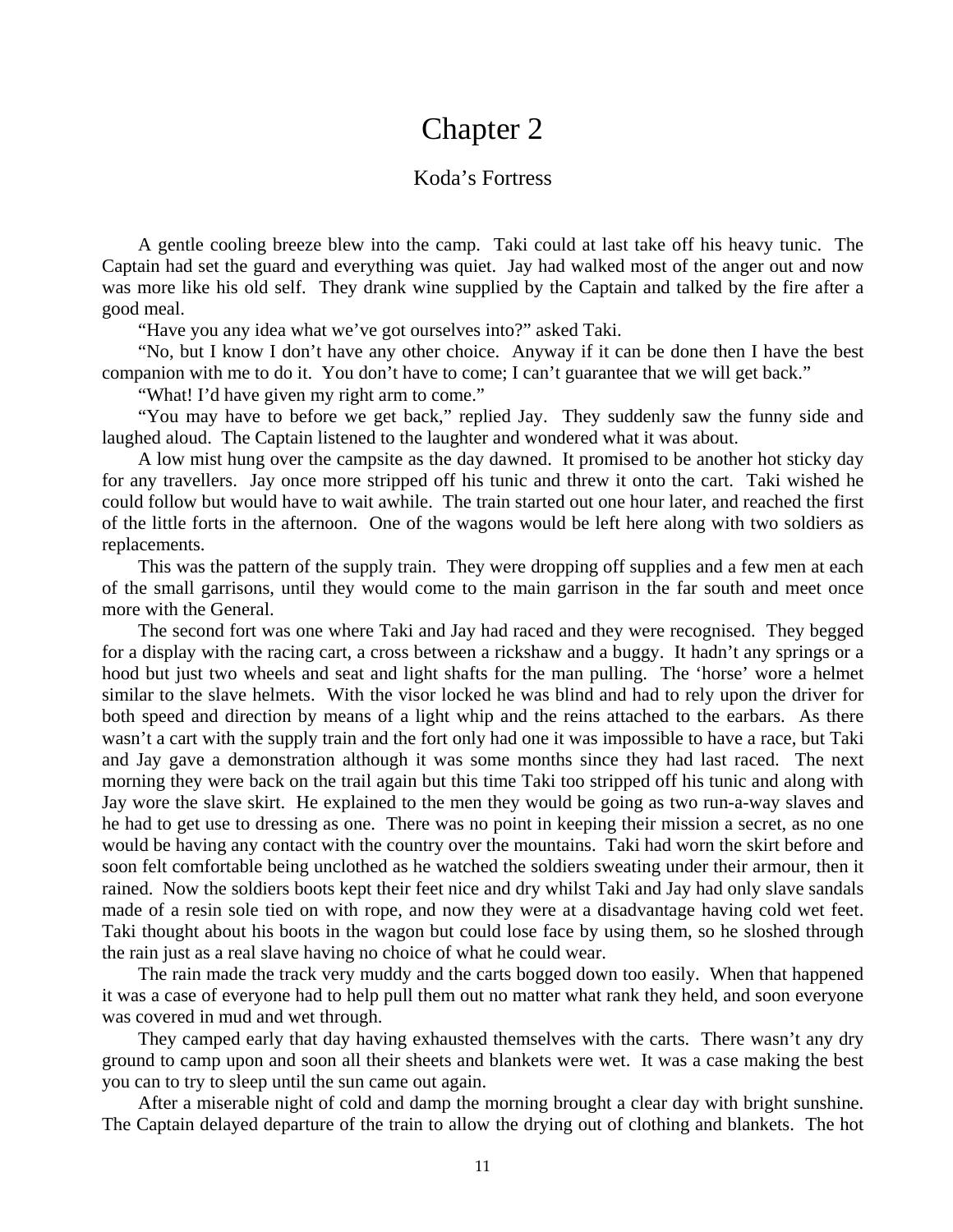### Chapter 2

#### Koda's Fortress

A gentle cooling breeze blew into the camp. Taki could at last take off his heavy tunic. The Captain had set the guard and everything was quiet. Jay had walked most of the anger out and now was more like his old self. They drank wine supplied by the Captain and talked by the fire after a good meal.

"Have you any idea what we've got ourselves into?" asked Taki.

"No, but I know I don't have any other choice. Anyway if it can be done then I have the best companion with me to do it. You don't have to come; I can't guarantee that we will get back."

"What! I'd have given my right arm to come."

"You may have to before we get back," replied Jay. They suddenly saw the funny side and laughed aloud. The Captain listened to the laughter and wondered what it was about.

A low mist hung over the campsite as the day dawned. It promised to be another hot sticky day for any travellers. Jay once more stripped off his tunic and threw it onto the cart. Taki wished he could follow but would have to wait awhile. The train started out one hour later, and reached the first of the little forts in the afternoon. One of the wagons would be left here along with two soldiers as replacements.

This was the pattern of the supply train. They were dropping off supplies and a few men at each of the small garrisons, until they would come to the main garrison in the far south and meet once more with the General.

The second fort was one where Taki and Jay had raced and they were recognised. They begged for a display with the racing cart, a cross between a rickshaw and a buggy. It hadn't any springs or a hood but just two wheels and seat and light shafts for the man pulling. The 'horse' wore a helmet similar to the slave helmets. With the visor locked he was blind and had to rely upon the driver for both speed and direction by means of a light whip and the reins attached to the earbars. As there wasn't a cart with the supply train and the fort only had one it was impossible to have a race, but Taki and Jay gave a demonstration although it was some months since they had last raced. The next morning they were back on the trail again but this time Taki too stripped off his tunic and along with Jay wore the slave skirt. He explained to the men they would be going as two run-a-way slaves and he had to get use to dressing as one. There was no point in keeping their mission a secret, as no one would be having any contact with the country over the mountains. Taki had worn the skirt before and soon felt comfortable being unclothed as he watched the soldiers sweating under their armour, then it rained. Now the soldiers boots kept their feet nice and dry whilst Taki and Jay had only slave sandals made of a resin sole tied on with rope, and now they were at a disadvantage having cold wet feet. Taki thought about his boots in the wagon but could lose face by using them, so he sloshed through the rain just as a real slave having no choice of what he could wear.

The rain made the track very muddy and the carts bogged down too easily. When that happened it was a case of everyone had to help pull them out no matter what rank they held, and soon everyone was covered in mud and wet through.

They camped early that day having exhausted themselves with the carts. There wasn't any dry ground to camp upon and soon all their sheets and blankets were wet. It was a case making the best you can to try to sleep until the sun came out again.

After a miserable night of cold and damp the morning brought a clear day with bright sunshine. The Captain delayed departure of the train to allow the drying out of clothing and blankets. The hot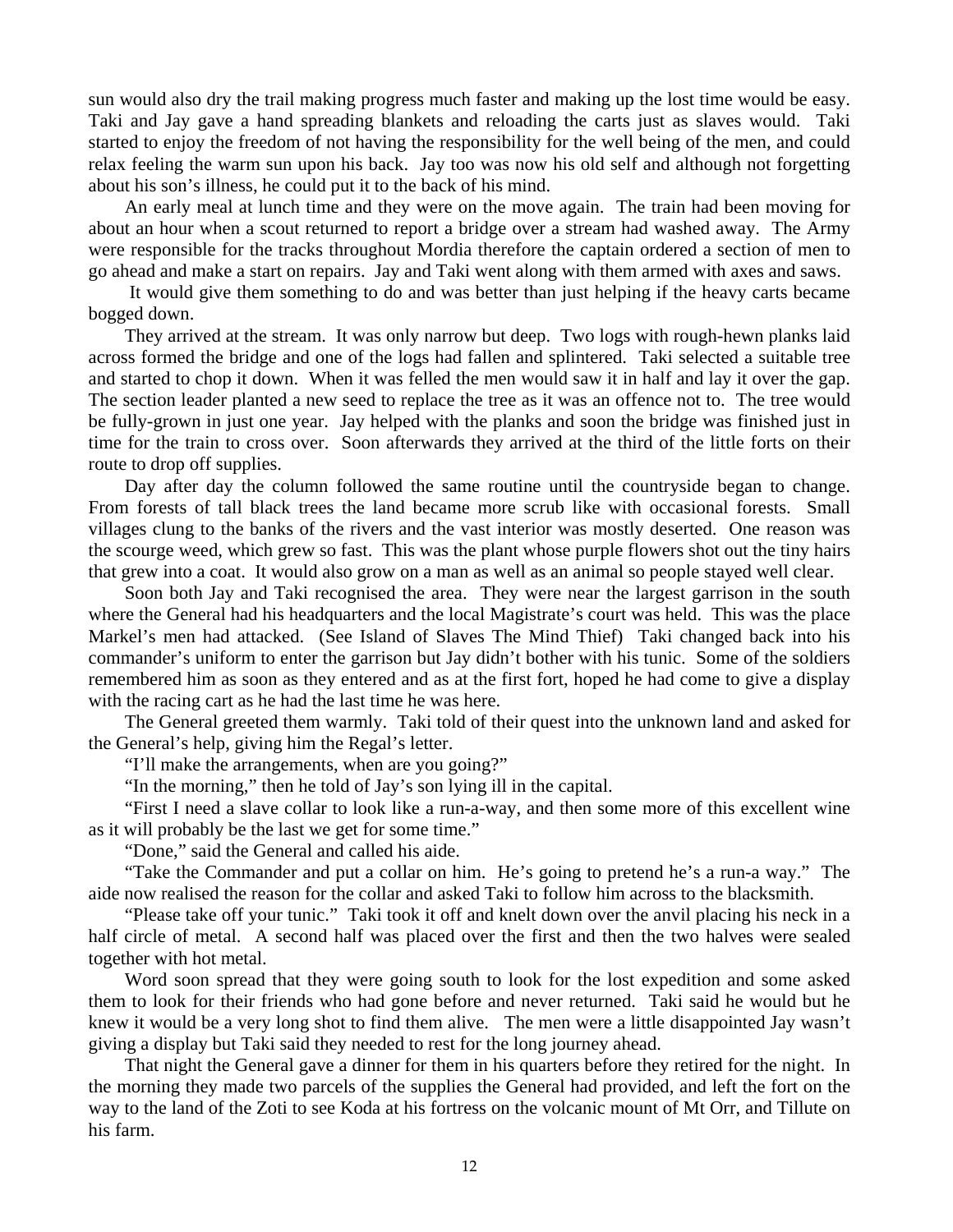sun would also dry the trail making progress much faster and making up the lost time would be easy. Taki and Jay gave a hand spreading blankets and reloading the carts just as slaves would. Taki started to enjoy the freedom of not having the responsibility for the well being of the men, and could relax feeling the warm sun upon his back. Jay too was now his old self and although not forgetting about his son's illness, he could put it to the back of his mind.

An early meal at lunch time and they were on the move again. The train had been moving for about an hour when a scout returned to report a bridge over a stream had washed away. The Army were responsible for the tracks throughout Mordia therefore the captain ordered a section of men to go ahead and make a start on repairs. Jay and Taki went along with them armed with axes and saws.

 It would give them something to do and was better than just helping if the heavy carts became bogged down.

They arrived at the stream. It was only narrow but deep. Two logs with rough-hewn planks laid across formed the bridge and one of the logs had fallen and splintered. Taki selected a suitable tree and started to chop it down. When it was felled the men would saw it in half and lay it over the gap. The section leader planted a new seed to replace the tree as it was an offence not to. The tree would be fully-grown in just one year. Jay helped with the planks and soon the bridge was finished just in time for the train to cross over. Soon afterwards they arrived at the third of the little forts on their route to drop off supplies.

Day after day the column followed the same routine until the countryside began to change. From forests of tall black trees the land became more scrub like with occasional forests. Small villages clung to the banks of the rivers and the vast interior was mostly deserted. One reason was the scourge weed, which grew so fast. This was the plant whose purple flowers shot out the tiny hairs that grew into a coat. It would also grow on a man as well as an animal so people stayed well clear.

Soon both Jay and Taki recognised the area. They were near the largest garrison in the south where the General had his headquarters and the local Magistrate's court was held. This was the place Markel's men had attacked. (See Island of Slaves The Mind Thief) Taki changed back into his commander's uniform to enter the garrison but Jay didn't bother with his tunic. Some of the soldiers remembered him as soon as they entered and as at the first fort, hoped he had come to give a display with the racing cart as he had the last time he was here.

The General greeted them warmly. Taki told of their quest into the unknown land and asked for the General's help, giving him the Regal's letter.

"I'll make the arrangements, when are you going?"

"In the morning," then he told of Jay's son lying ill in the capital.

"First I need a slave collar to look like a run-a-way, and then some more of this excellent wine as it will probably be the last we get for some time."

"Done," said the General and called his aide.

"Take the Commander and put a collar on him. He's going to pretend he's a run-a way." The aide now realised the reason for the collar and asked Taki to follow him across to the blacksmith.

"Please take off your tunic." Taki took it off and knelt down over the anvil placing his neck in a half circle of metal. A second half was placed over the first and then the two halves were sealed together with hot metal.

Word soon spread that they were going south to look for the lost expedition and some asked them to look for their friends who had gone before and never returned. Taki said he would but he knew it would be a very long shot to find them alive. The men were a little disappointed Jay wasn't giving a display but Taki said they needed to rest for the long journey ahead.

That night the General gave a dinner for them in his quarters before they retired for the night. In the morning they made two parcels of the supplies the General had provided, and left the fort on the way to the land of the Zoti to see Koda at his fortress on the volcanic mount of Mt Orr, and Tillute on his farm.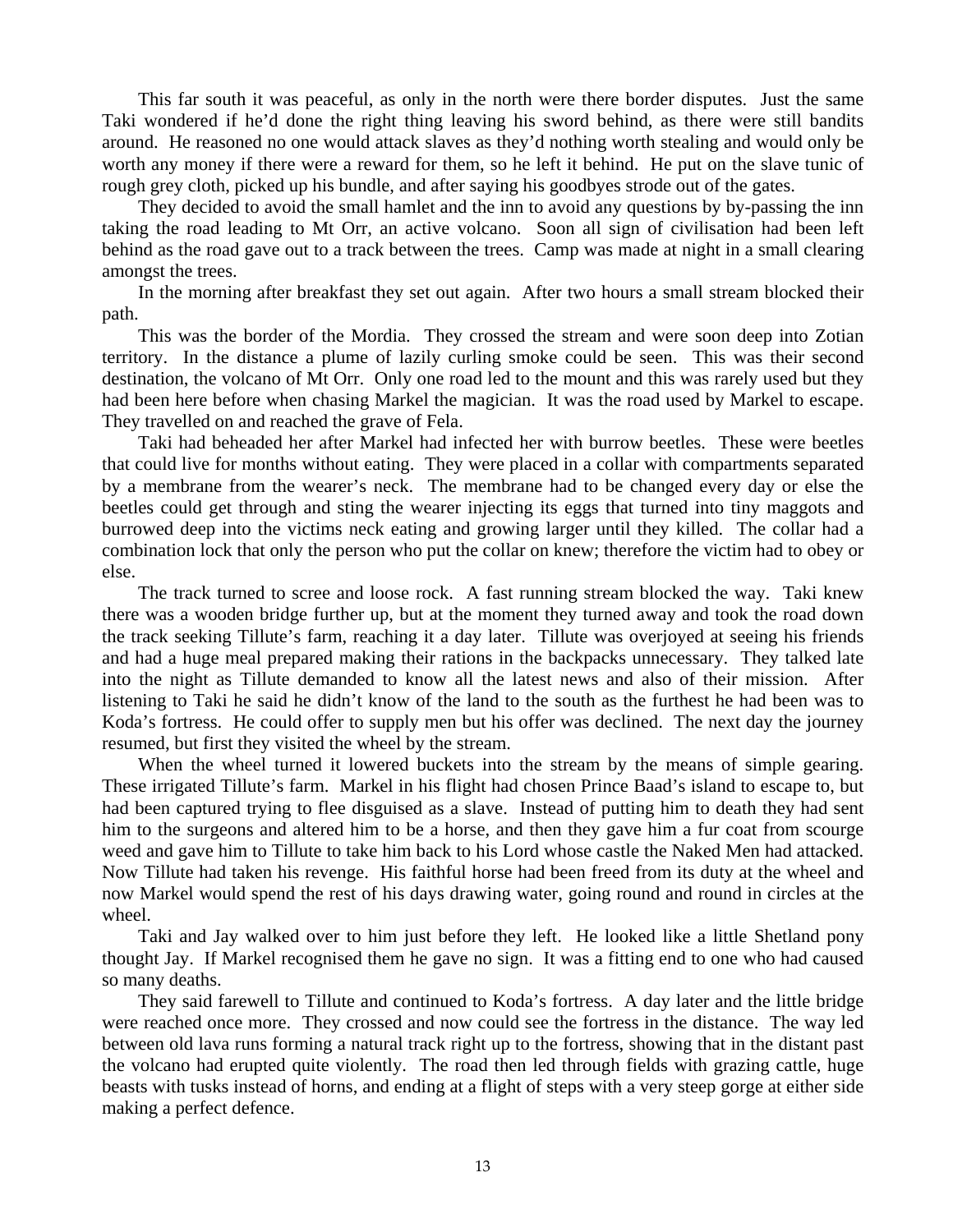This far south it was peaceful, as only in the north were there border disputes. Just the same Taki wondered if he'd done the right thing leaving his sword behind, as there were still bandits around. He reasoned no one would attack slaves as they'd nothing worth stealing and would only be worth any money if there were a reward for them, so he left it behind. He put on the slave tunic of rough grey cloth, picked up his bundle, and after saying his goodbyes strode out of the gates.

They decided to avoid the small hamlet and the inn to avoid any questions by by-passing the inn taking the road leading to Mt Orr, an active volcano. Soon all sign of civilisation had been left behind as the road gave out to a track between the trees. Camp was made at night in a small clearing amongst the trees.

In the morning after breakfast they set out again. After two hours a small stream blocked their path.

This was the border of the Mordia. They crossed the stream and were soon deep into Zotian territory. In the distance a plume of lazily curling smoke could be seen. This was their second destination, the volcano of Mt Orr. Only one road led to the mount and this was rarely used but they had been here before when chasing Markel the magician. It was the road used by Markel to escape. They travelled on and reached the grave of Fela.

Taki had beheaded her after Markel had infected her with burrow beetles. These were beetles that could live for months without eating. They were placed in a collar with compartments separated by a membrane from the wearer's neck. The membrane had to be changed every day or else the beetles could get through and sting the wearer injecting its eggs that turned into tiny maggots and burrowed deep into the victims neck eating and growing larger until they killed. The collar had a combination lock that only the person who put the collar on knew; therefore the victim had to obey or else.

The track turned to scree and loose rock. A fast running stream blocked the way. Taki knew there was a wooden bridge further up, but at the moment they turned away and took the road down the track seeking Tillute's farm, reaching it a day later. Tillute was overjoyed at seeing his friends and had a huge meal prepared making their rations in the backpacks unnecessary. They talked late into the night as Tillute demanded to know all the latest news and also of their mission. After listening to Taki he said he didn't know of the land to the south as the furthest he had been was to Koda's fortress. He could offer to supply men but his offer was declined. The next day the journey resumed, but first they visited the wheel by the stream.

When the wheel turned it lowered buckets into the stream by the means of simple gearing. These irrigated Tillute's farm. Markel in his flight had chosen Prince Baad's island to escape to, but had been captured trying to flee disguised as a slave. Instead of putting him to death they had sent him to the surgeons and altered him to be a horse, and then they gave him a fur coat from scourge weed and gave him to Tillute to take him back to his Lord whose castle the Naked Men had attacked. Now Tillute had taken his revenge. His faithful horse had been freed from its duty at the wheel and now Markel would spend the rest of his days drawing water, going round and round in circles at the wheel.

Taki and Jay walked over to him just before they left. He looked like a little Shetland pony thought Jay. If Markel recognised them he gave no sign. It was a fitting end to one who had caused so many deaths.

They said farewell to Tillute and continued to Koda's fortress. A day later and the little bridge were reached once more. They crossed and now could see the fortress in the distance. The way led between old lava runs forming a natural track right up to the fortress, showing that in the distant past the volcano had erupted quite violently. The road then led through fields with grazing cattle, huge beasts with tusks instead of horns, and ending at a flight of steps with a very steep gorge at either side making a perfect defence.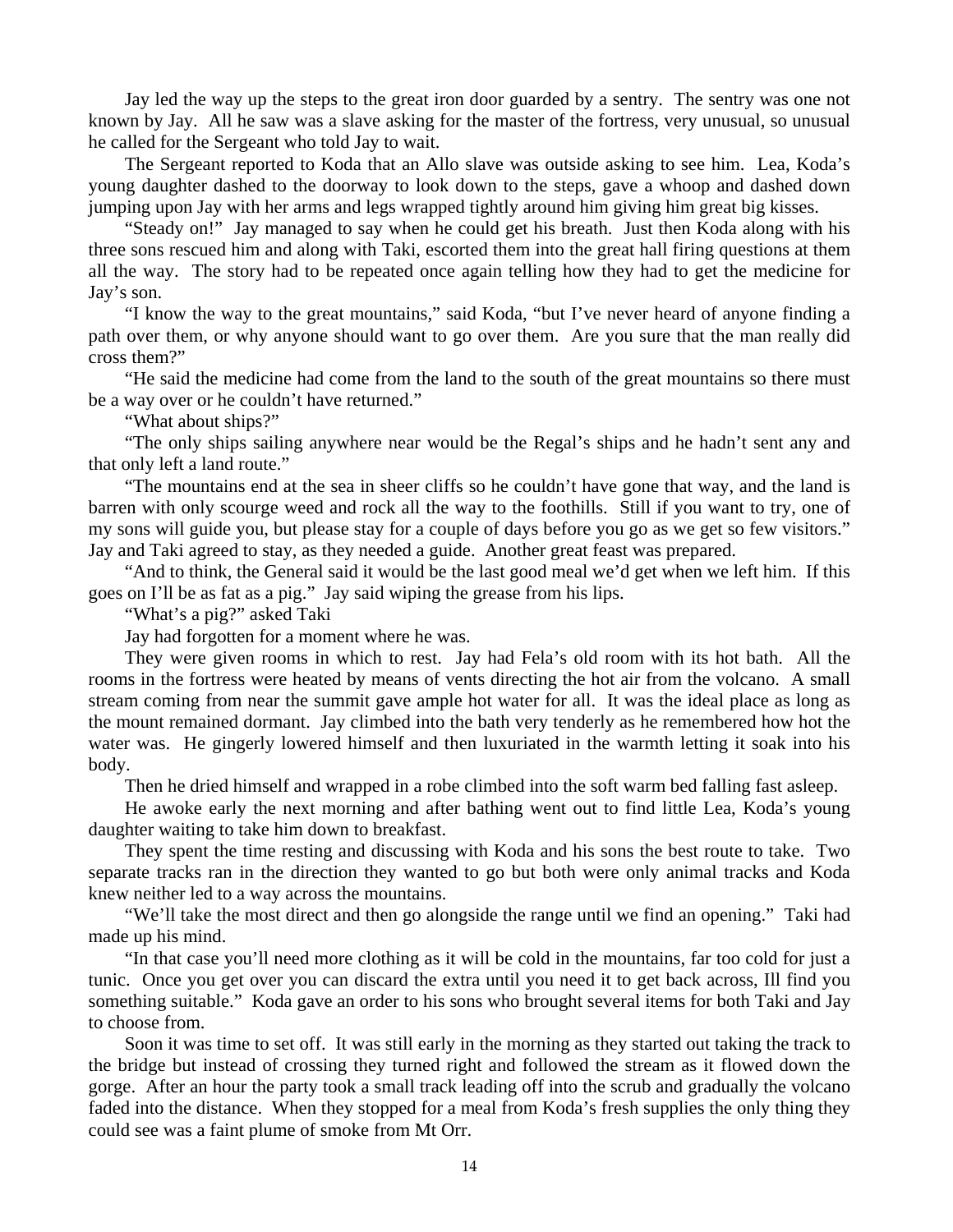Jay led the way up the steps to the great iron door guarded by a sentry. The sentry was one not known by Jay. All he saw was a slave asking for the master of the fortress, very unusual, so unusual he called for the Sergeant who told Jay to wait.

The Sergeant reported to Koda that an Allo slave was outside asking to see him. Lea, Koda's young daughter dashed to the doorway to look down to the steps, gave a whoop and dashed down jumping upon Jay with her arms and legs wrapped tightly around him giving him great big kisses.

"Steady on!" Jay managed to say when he could get his breath. Just then Koda along with his three sons rescued him and along with Taki, escorted them into the great hall firing questions at them all the way. The story had to be repeated once again telling how they had to get the medicine for Jay's son.

"I know the way to the great mountains," said Koda, "but I've never heard of anyone finding a path over them, or why anyone should want to go over them. Are you sure that the man really did cross them?"

"He said the medicine had come from the land to the south of the great mountains so there must be a way over or he couldn't have returned."

"What about ships?"

"The only ships sailing anywhere near would be the Regal's ships and he hadn't sent any and that only left a land route."

"The mountains end at the sea in sheer cliffs so he couldn't have gone that way, and the land is barren with only scourge weed and rock all the way to the foothills. Still if you want to try, one of my sons will guide you, but please stay for a couple of days before you go as we get so few visitors." Jay and Taki agreed to stay, as they needed a guide. Another great feast was prepared.

"And to think, the General said it would be the last good meal we'd get when we left him. If this goes on I'll be as fat as a pig." Jay said wiping the grease from his lips.

"What's a pig?" asked Taki

Jay had forgotten for a moment where he was.

They were given rooms in which to rest. Jay had Fela's old room with its hot bath. All the rooms in the fortress were heated by means of vents directing the hot air from the volcano. A small stream coming from near the summit gave ample hot water for all. It was the ideal place as long as the mount remained dormant. Jay climbed into the bath very tenderly as he remembered how hot the water was. He gingerly lowered himself and then luxuriated in the warmth letting it soak into his body.

Then he dried himself and wrapped in a robe climbed into the soft warm bed falling fast asleep.

He awoke early the next morning and after bathing went out to find little Lea, Koda's young daughter waiting to take him down to breakfast.

They spent the time resting and discussing with Koda and his sons the best route to take. Two separate tracks ran in the direction they wanted to go but both were only animal tracks and Koda knew neither led to a way across the mountains.

"We'll take the most direct and then go alongside the range until we find an opening." Taki had made up his mind.

"In that case you'll need more clothing as it will be cold in the mountains, far too cold for just a tunic. Once you get over you can discard the extra until you need it to get back across, Ill find you something suitable." Koda gave an order to his sons who brought several items for both Taki and Jay to choose from.

Soon it was time to set off. It was still early in the morning as they started out taking the track to the bridge but instead of crossing they turned right and followed the stream as it flowed down the gorge. After an hour the party took a small track leading off into the scrub and gradually the volcano faded into the distance. When they stopped for a meal from Koda's fresh supplies the only thing they could see was a faint plume of smoke from Mt Orr.